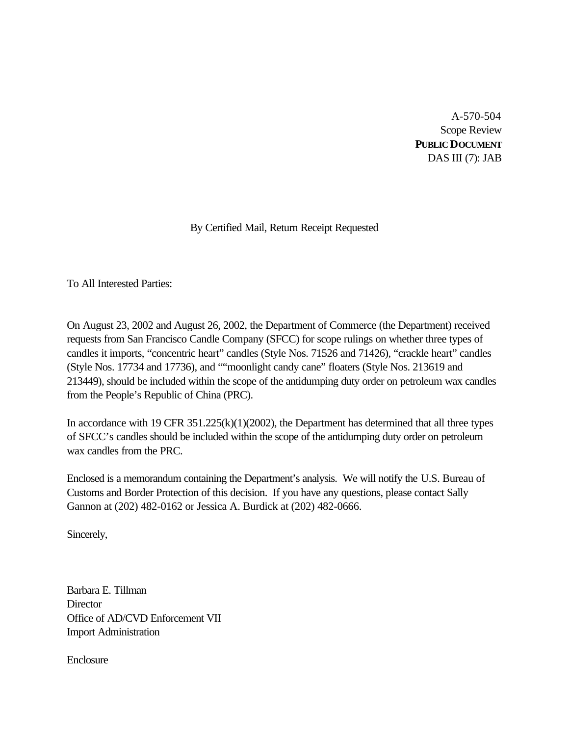A-570-504 Scope Review **PUBLIC DOCUMENT** DAS III (7): JAB

# By Certified Mail, Return Receipt Requested

To All Interested Parties:

On August 23, 2002 and August 26, 2002, the Department of Commerce (the Department) received requests from San Francisco Candle Company (SFCC) for scope rulings on whether three types of candles it imports, "concentric heart" candles (Style Nos. 71526 and 71426), "crackle heart" candles (Style Nos. 17734 and 17736), and ""moonlight candy cane" floaters (Style Nos. 213619 and 213449), should be included within the scope of the antidumping duty order on petroleum wax candles from the People's Republic of China (PRC).

In accordance with 19 CFR 351.225(k)(1)(2002), the Department has determined that all three types of SFCC's candles should be included within the scope of the antidumping duty order on petroleum wax candles from the PRC.

Enclosed is a memorandum containing the Department's analysis. We will notify the U.S. Bureau of Customs and Border Protection of this decision. If you have any questions, please contact Sally Gannon at (202) 482-0162 or Jessica A. Burdick at (202) 482-0666.

Sincerely,

Barbara E. Tillman **Director** Office of AD/CVD Enforcement VII Import Administration

Enclosure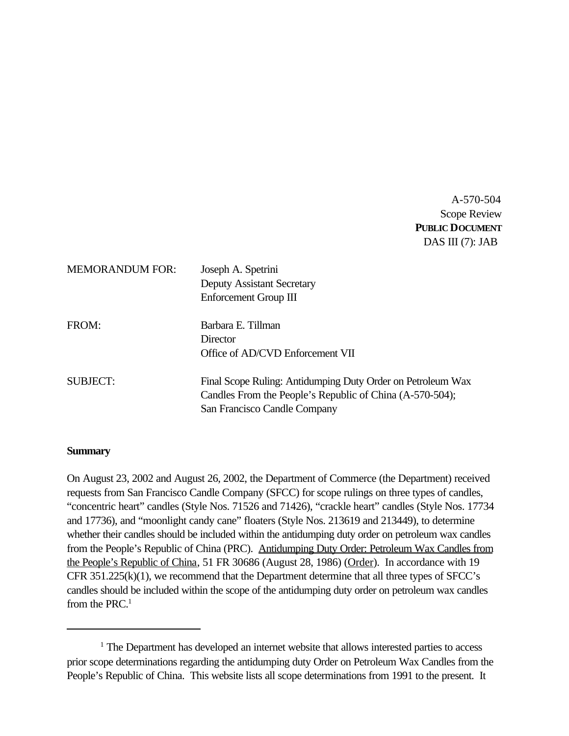A-570-504 Scope Review **PUBLIC DOCUMENT** DAS III (7): JAB

| <b>MEMORANDUM FOR:</b> | Joseph A. Spetrini<br><b>Deputy Assistant Secretary</b><br>Enforcement Group III                                                                        |
|------------------------|---------------------------------------------------------------------------------------------------------------------------------------------------------|
| FROM:                  | Barbara E. Tillman<br>Director<br>Office of AD/CVD Enforcement VII                                                                                      |
| SUBJECT:               | Final Scope Ruling: Antidumping Duty Order on Petroleum Wax<br>Candles From the People's Republic of China (A-570-504);<br>San Francisco Candle Company |

### **Summary**

On August 23, 2002 and August 26, 2002, the Department of Commerce (the Department) received requests from San Francisco Candle Company (SFCC) for scope rulings on three types of candles, "concentric heart" candles (Style Nos. 71526 and 71426), "crackle heart" candles (Style Nos. 17734 and 17736), and "moonlight candy cane" floaters (Style Nos. 213619 and 213449), to determine whether their candles should be included within the antidumping duty order on petroleum wax candles from the People's Republic of China (PRC). Antidumping Duty Order: Petroleum Wax Candles from the People's Republic of China, 51 FR 30686 (August 28, 1986) (Order). In accordance with 19 CFR 351.225(k)(1), we recommend that the Department determine that all three types of SFCC's candles should be included within the scope of the antidumping duty order on petroleum wax candles from the PRC $^1$ 

<sup>&</sup>lt;sup>1</sup> The Department has developed an internet website that allows interested parties to access prior scope determinations regarding the antidumping duty Order on Petroleum Wax Candles from the People's Republic of China. This website lists all scope determinations from 1991 to the present. It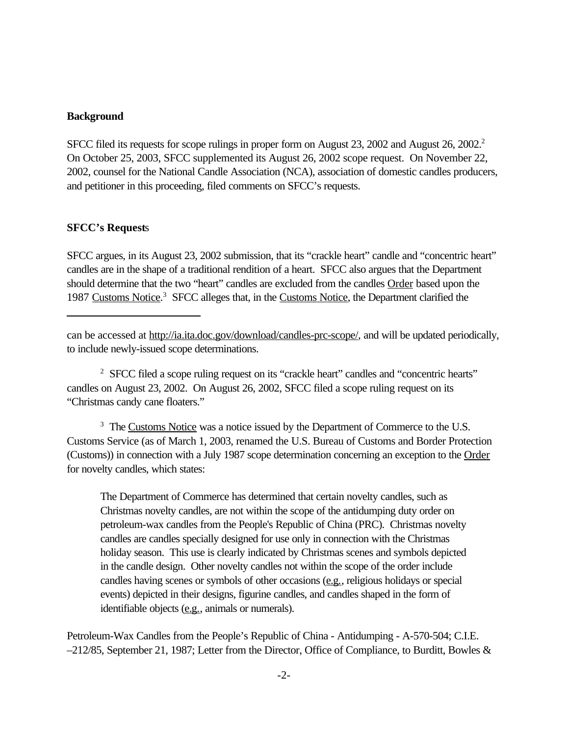## **Background**

SFCC filed its requests for scope rulings in proper form on August 23, 2002 and August 26, 2002.<sup>2</sup> On October 25, 2003, SFCC supplemented its August 26, 2002 scope request. On November 22, 2002, counsel for the National Candle Association (NCA), association of domestic candles producers, and petitioner in this proceeding, filed comments on SFCC's requests.

### **SFCC's Request**s

SFCC argues, in its August 23, 2002 submission, that its "crackle heart" candle and "concentric heart" candles are in the shape of a traditional rendition of a heart. SFCC also argues that the Department should determine that the two "heart" candles are excluded from the candles Order based upon the 1987 Customs Notice.<sup>3</sup> SFCC alleges that, in the Customs Notice, the Department clarified the

<sup>2</sup> SFCC filed a scope ruling request on its "crackle heart" candles and "concentric hearts" candles on August 23, 2002. On August 26, 2002, SFCC filed a scope ruling request on its "Christmas candy cane floaters."

<sup>3</sup> The Customs Notice was a notice issued by the Department of Commerce to the U.S. Customs Service (as of March 1, 2003, renamed the U.S. Bureau of Customs and Border Protection (Customs)) in connection with a July 1987 scope determination concerning an exception to the Order for novelty candles, which states:

The Department of Commerce has determined that certain novelty candles, such as Christmas novelty candles, are not within the scope of the antidumping duty order on petroleum-wax candles from the People's Republic of China (PRC). Christmas novelty candles are candles specially designed for use only in connection with the Christmas holiday season. This use is clearly indicated by Christmas scenes and symbols depicted in the candle design. Other novelty candles not within the scope of the order include candles having scenes or symbols of other occasions (e.g., religious holidays or special events) depicted in their designs, figurine candles, and candles shaped in the form of identifiable objects (e.g., animals or numerals).

Petroleum-Wax Candles from the People's Republic of China - Antidumping - A-570-504; C.I.E. –212/85, September 21, 1987; Letter from the Director, Office of Compliance, to Burditt, Bowles &

can be accessed at http://ia.ita.doc.gov/download/candles-prc-scope/, and will be updated periodically, to include newly-issued scope determinations.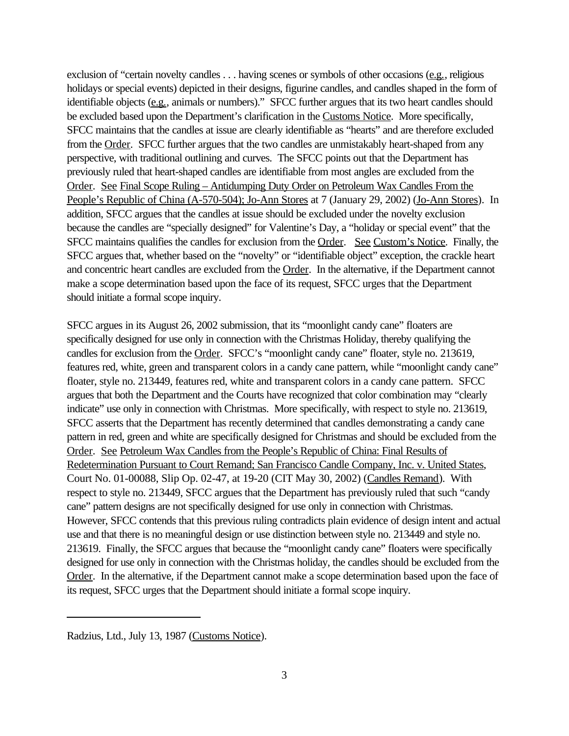exclusion of "certain novelty candles . . . having scenes or symbols of other occasions (e.g., religious holidays or special events) depicted in their designs, figurine candles, and candles shaped in the form of identifiable objects (e.g., animals or numbers)." SFCC further argues that its two heart candles should be excluded based upon the Department's clarification in the Customs Notice. More specifically, SFCC maintains that the candles at issue are clearly identifiable as "hearts" and are therefore excluded from the Order. SFCC further argues that the two candles are unmistakably heart-shaped from any perspective, with traditional outlining and curves. The SFCC points out that the Department has previously ruled that heart-shaped candles are identifiable from most angles are excluded from the Order. See Final Scope Ruling – Antidumping Duty Order on Petroleum Wax Candles From the People's Republic of China (A-570-504); Jo-Ann Stores at 7 (January 29, 2002) (Jo-Ann Stores). In addition, SFCC argues that the candles at issue should be excluded under the novelty exclusion because the candles are "specially designed" for Valentine's Day, a "holiday or special event" that the SFCC maintains qualifies the candles for exclusion from the Order. See Custom's Notice. Finally, the SFCC argues that, whether based on the "novelty" or "identifiable object" exception, the crackle heart and concentric heart candles are excluded from the Order. In the alternative, if the Department cannot make a scope determination based upon the face of its request, SFCC urges that the Department should initiate a formal scope inquiry.

SFCC argues in its August 26, 2002 submission, that its "moonlight candy cane" floaters are specifically designed for use only in connection with the Christmas Holiday, thereby qualifying the candles for exclusion from the Order. SFCC's "moonlight candy cane" floater, style no. 213619, features red, white, green and transparent colors in a candy cane pattern, while "moonlight candy cane" floater, style no. 213449, features red, white and transparent colors in a candy cane pattern. SFCC argues that both the Department and the Courts have recognized that color combination may "clearly indicate" use only in connection with Christmas. More specifically, with respect to style no. 213619, SFCC asserts that the Department has recently determined that candles demonstrating a candy cane pattern in red, green and white are specifically designed for Christmas and should be excluded from the Order. See Petroleum Wax Candles from the People's Republic of China: Final Results of Redetermination Pursuant to Court Remand; San Francisco Candle Company, Inc. v. United States, Court No. 01-00088, Slip Op. 02-47, at 19-20 (CIT May 30, 2002) (Candles Remand). With respect to style no. 213449, SFCC argues that the Department has previously ruled that such "candy cane" pattern designs are not specifically designed for use only in connection with Christmas. However, SFCC contends that this previous ruling contradicts plain evidence of design intent and actual use and that there is no meaningful design or use distinction between style no. 213449 and style no. 213619. Finally, the SFCC argues that because the "moonlight candy cane" floaters were specifically designed for use only in connection with the Christmas holiday, the candles should be excluded from the Order. In the alternative, if the Department cannot make a scope determination based upon the face of its request, SFCC urges that the Department should initiate a formal scope inquiry.

Radzius, Ltd., July 13, 1987 (Customs Notice).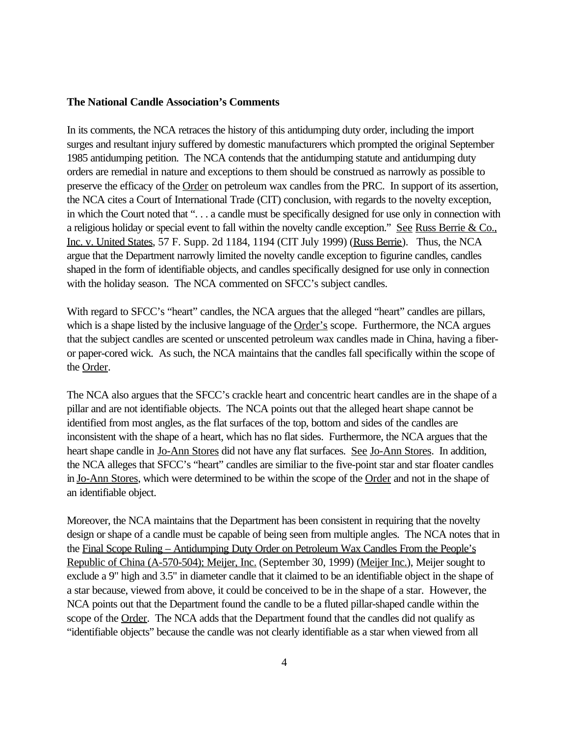### **The National Candle Association's Comments**

In its comments, the NCA retraces the history of this antidumping duty order, including the import surges and resultant injury suffered by domestic manufacturers which prompted the original September 1985 antidumping petition. The NCA contends that the antidumping statute and antidumping duty orders are remedial in nature and exceptions to them should be construed as narrowly as possible to preserve the efficacy of the Order on petroleum wax candles from the PRC. In support of its assertion, the NCA cites a Court of International Trade (CIT) conclusion, with regards to the novelty exception, in which the Court noted that ". . . a candle must be specifically designed for use only in connection with a religious holiday or special event to fall within the novelty candle exception." See Russ Berrie & Co., Inc. v. United States, 57 F. Supp. 2d 1184, 1194 (CIT July 1999) (Russ Berrie). Thus, the NCA argue that the Department narrowly limited the novelty candle exception to figurine candles, candles shaped in the form of identifiable objects, and candles specifically designed for use only in connection with the holiday season. The NCA commented on SFCC's subject candles.

With regard to SFCC's "heart" candles, the NCA argues that the alleged "heart" candles are pillars, which is a shape listed by the inclusive language of the Order's scope. Furthermore, the NCA argues that the subject candles are scented or unscented petroleum wax candles made in China, having a fiberor paper-cored wick. As such, the NCA maintains that the candles fall specifically within the scope of the Order.

The NCA also argues that the SFCC's crackle heart and concentric heart candles are in the shape of a pillar and are not identifiable objects. The NCA points out that the alleged heart shape cannot be identified from most angles, as the flat surfaces of the top, bottom and sides of the candles are inconsistent with the shape of a heart, which has no flat sides. Furthermore, the NCA argues that the heart shape candle in Jo-Ann Stores did not have any flat surfaces. See Jo-Ann Stores. In addition, the NCA alleges that SFCC's "heart" candles are similiar to the five-point star and star floater candles in Jo-Ann Stores, which were determined to be within the scope of the Order and not in the shape of an identifiable object.

Moreover, the NCA maintains that the Department has been consistent in requiring that the novelty design or shape of a candle must be capable of being seen from multiple angles. The NCA notes that in the Final Scope Ruling – Antidumping Duty Order on Petroleum Wax Candles From the People's Republic of China (A-570-504); Meijer, Inc. (September 30, 1999) (Meijer Inc.), Meijer sought to exclude a 9" high and 3.5" in diameter candle that it claimed to be an identifiable object in the shape of a star because, viewed from above, it could be conceived to be in the shape of a star. However, the NCA points out that the Department found the candle to be a fluted pillar-shaped candle within the scope of the Order. The NCA adds that the Department found that the candles did not qualify as "identifiable objects" because the candle was not clearly identifiable as a star when viewed from all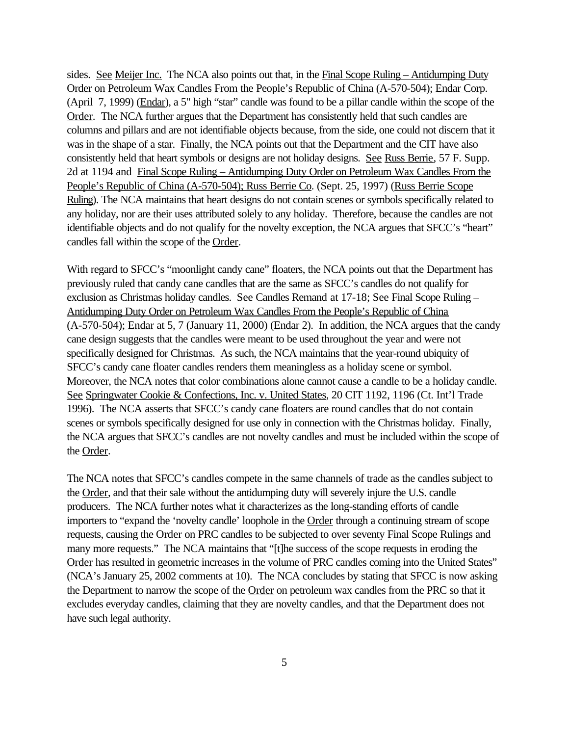sides. See Meijer Inc. The NCA also points out that, in the Final Scope Ruling – Antidumping Duty Order on Petroleum Wax Candles From the People's Republic of China (A-570-504); Endar Corp. (April 7, 1999) (Endar), a 5" high "star" candle was found to be a pillar candle within the scope of the Order. The NCA further argues that the Department has consistently held that such candles are columns and pillars and are not identifiable objects because, from the side, one could not discern that it was in the shape of a star. Finally, the NCA points out that the Department and the CIT have also consistently held that heart symbols or designs are not holiday designs. See Russ Berrie, 57 F. Supp. 2d at 1194 and Final Scope Ruling – Antidumping Duty Order on Petroleum Wax Candles From the People's Republic of China (A-570-504); Russ Berrie Co. (Sept. 25, 1997) (Russ Berrie Scope Ruling). The NCA maintains that heart designs do not contain scenes or symbols specifically related to any holiday, nor are their uses attributed solely to any holiday. Therefore, because the candles are not identifiable objects and do not qualify for the novelty exception, the NCA argues that SFCC's "heart" candles fall within the scope of the Order.

With regard to SFCC's "moonlight candy cane" floaters, the NCA points out that the Department has previously ruled that candy cane candles that are the same as SFCC's candles do not qualify for exclusion as Christmas holiday candles. See Candles Remand at 17-18; See Final Scope Ruling -Antidumping Duty Order on Petroleum Wax Candles From the People's Republic of China (A-570-504); Endar at 5, 7 (January 11, 2000) (Endar 2). In addition, the NCA argues that the candy cane design suggests that the candles were meant to be used throughout the year and were not specifically designed for Christmas. As such, the NCA maintains that the year-round ubiquity of SFCC's candy cane floater candles renders them meaningless as a holiday scene or symbol. Moreover, the NCA notes that color combinations alone cannot cause a candle to be a holiday candle. See Springwater Cookie & Confections, Inc. v. United States, 20 CIT 1192, 1196 (Ct. Int'l Trade 1996). The NCA asserts that SFCC's candy cane floaters are round candles that do not contain scenes or symbols specifically designed for use only in connection with the Christmas holiday. Finally, the NCA argues that SFCC's candles are not novelty candles and must be included within the scope of the Order.

The NCA notes that SFCC's candles compete in the same channels of trade as the candles subject to the Order, and that their sale without the antidumping duty will severely injure the U.S. candle producers. The NCA further notes what it characterizes as the long-standing efforts of candle importers to "expand the 'novelty candle' loophole in the Order through a continuing stream of scope requests, causing the Order on PRC candles to be subjected to over seventy Final Scope Rulings and many more requests." The NCA maintains that "[t]he success of the scope requests in eroding the Order has resulted in geometric increases in the volume of PRC candles coming into the United States" (NCA's January 25, 2002 comments at 10). The NCA concludes by stating that SFCC is now asking the Department to narrow the scope of the Order on petroleum wax candles from the PRC so that it excludes everyday candles, claiming that they are novelty candles, and that the Department does not have such legal authority.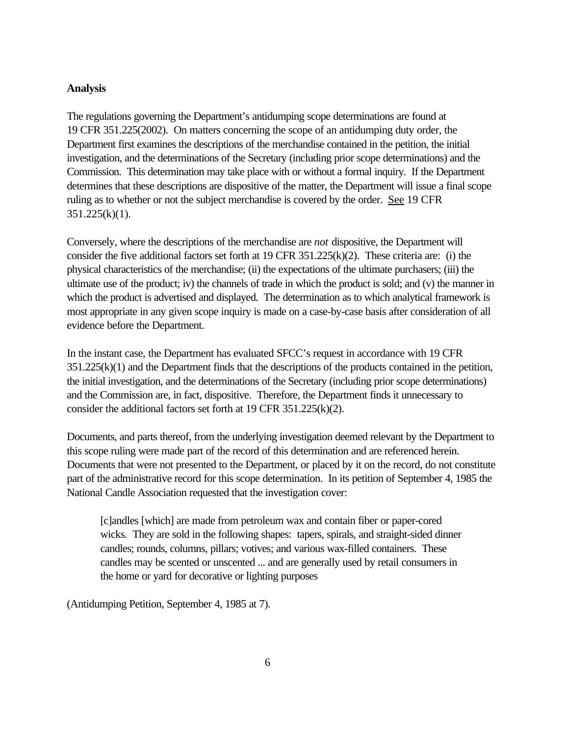### **Analysis**

The regulations governing the Department's antidumping scope determinations are found at 19 CFR 351.225(2002). On matters concerning the scope of an antidumping duty order, the Department first examines the descriptions of the merchandise contained in the petition, the initial investigation, and the determinations of the Secretary (including prior scope determinations) and the Commission. This determination may take place with or without a formal inquiry. If the Department determines that these descriptions are dispositive of the matter, the Department will issue a final scope ruling as to whether or not the subject merchandise is covered by the order. See 19 CFR  $351.225(k)(1)$ .

Conversely, where the descriptions of the merchandise are *not* dispositive, the Department will consider the five additional factors set forth at 19 CFR 351.225(k)(2). These criteria are: (i) the physical characteristics of the merchandise; (ii) the expectations of the ultimate purchasers; (iii) the ultimate use of the product; iv) the channels of trade in which the product is sold; and (v) the manner in which the product is advertised and displayed. The determination as to which analytical framework is most appropriate in any given scope inquiry is made on a case-by-case basis after consideration of all evidence before the Department.

In the instant case, the Department has evaluated SFCC's request in accordance with 19 CFR 351.225(k)(1) and the Department finds that the descriptions of the products contained in the petition, the initial investigation, and the determinations of the Secretary (including prior scope determinations) and the Commission are, in fact, dispositive. Therefore, the Department finds it unnecessary to consider the additional factors set forth at 19 CFR 351.225(k)(2).

Documents, and parts thereof, from the underlying investigation deemed relevant by the Department to this scope ruling were made part of the record of this determination and are referenced herein. Documents that were not presented to the Department, or placed by it on the record, do not constitute part of the administrative record for this scope determination. In its petition of September 4, 1985 the National Candle Association requested that the investigation cover:

[c]andles [which] are made from petroleum wax and contain fiber or paper-cored wicks. They are sold in the following shapes: tapers, spirals, and straight-sided dinner candles; rounds, columns, pillars; votives; and various wax-filled containers. These candles may be scented or unscented ... and are generally used by retail consumers in the home or yard for decorative or lighting purposes

(Antidumping Petition, September 4, 1985 at 7).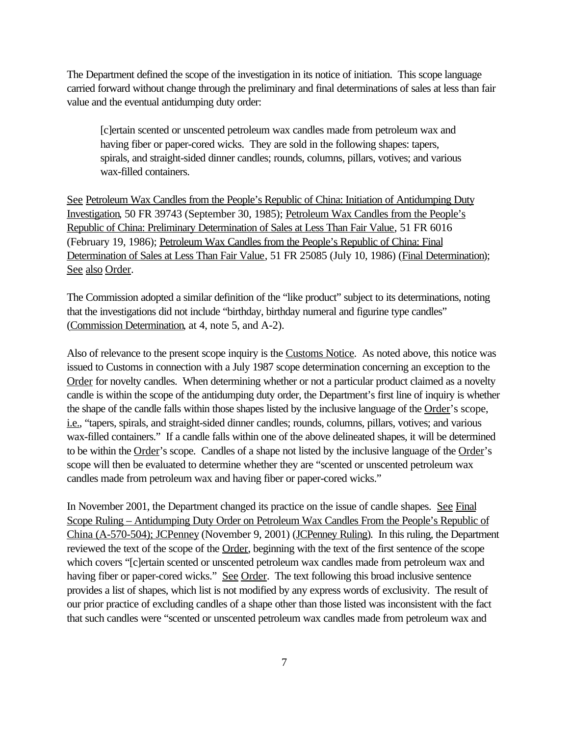The Department defined the scope of the investigation in its notice of initiation. This scope language carried forward without change through the preliminary and final determinations of sales at less than fair value and the eventual antidumping duty order:

[c]ertain scented or unscented petroleum wax candles made from petroleum wax and having fiber or paper-cored wicks. They are sold in the following shapes: tapers, spirals, and straight-sided dinner candles; rounds, columns, pillars, votives; and various wax-filled containers.

See Petroleum Wax Candles from the People's Republic of China: Initiation of Antidumping Duty Investigation, 50 FR 39743 (September 30, 1985); Petroleum Wax Candles from the People's Republic of China: Preliminary Determination of Sales at Less Than Fair Value, 51 FR 6016 (February 19, 1986); Petroleum Wax Candles from the People's Republic of China: Final Determination of Sales at Less Than Fair Value, 51 FR 25085 (July 10, 1986) (Final Determination); See also Order.

The Commission adopted a similar definition of the "like product" subject to its determinations, noting that the investigations did not include "birthday, birthday numeral and figurine type candles" (Commission Determination, at 4, note 5, and A-2).

Also of relevance to the present scope inquiry is the Customs Notice. As noted above, this notice was issued to Customs in connection with a July 1987 scope determination concerning an exception to the Order for novelty candles. When determining whether or not a particular product claimed as a novelty candle is within the scope of the antidumping duty order, the Department's first line of inquiry is whether the shape of the candle falls within those shapes listed by the inclusive language of the Order's scope, i.e., "tapers, spirals, and straight-sided dinner candles; rounds, columns, pillars, votives; and various wax-filled containers." If a candle falls within one of the above delineated shapes, it will be determined to be within the Order's scope. Candles of a shape not listed by the inclusive language of the Order's scope will then be evaluated to determine whether they are "scented or unscented petroleum wax candles made from petroleum wax and having fiber or paper-cored wicks."

In November 2001, the Department changed its practice on the issue of candle shapes. See Final Scope Ruling – Antidumping Duty Order on Petroleum Wax Candles From the People's Republic of China (A-570-504); JCPenney (November 9, 2001) (JCPenney Ruling). In this ruling, the Department reviewed the text of the scope of the Order, beginning with the text of the first sentence of the scope which covers "[c]ertain scented or unscented petroleum wax candles made from petroleum wax and having fiber or paper-cored wicks." See Order. The text following this broad inclusive sentence provides a list of shapes, which list is not modified by any express words of exclusivity. The result of our prior practice of excluding candles of a shape other than those listed was inconsistent with the fact that such candles were "scented or unscented petroleum wax candles made from petroleum wax and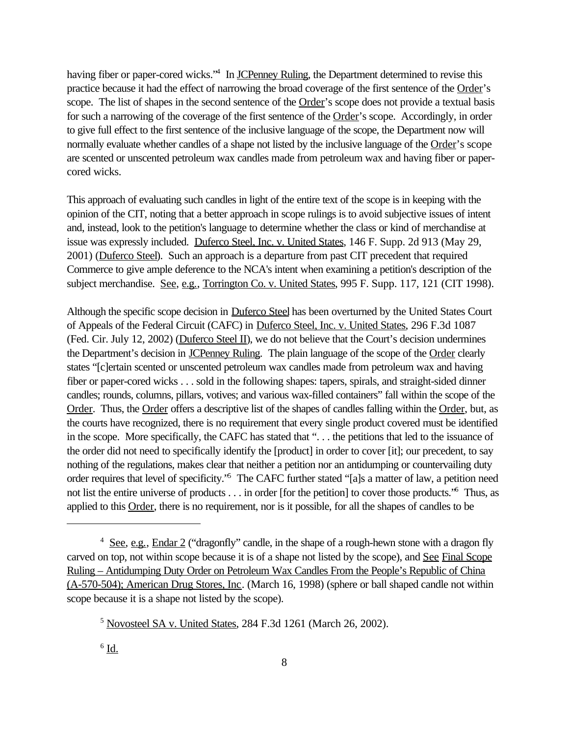having fiber or paper-cored wicks.<sup>14</sup> In JCPenney Ruling, the Department determined to revise this practice because it had the effect of narrowing the broad coverage of the first sentence of the Order's scope. The list of shapes in the second sentence of the Order's scope does not provide a textual basis for such a narrowing of the coverage of the first sentence of the Order's scope. Accordingly, in order to give full effect to the first sentence of the inclusive language of the scope, the Department now will normally evaluate whether candles of a shape not listed by the inclusive language of the Order's scope are scented or unscented petroleum wax candles made from petroleum wax and having fiber or papercored wicks.

This approach of evaluating such candles in light of the entire text of the scope is in keeping with the opinion of the CIT, noting that a better approach in scope rulings is to avoid subjective issues of intent and, instead, look to the petition's language to determine whether the class or kind of merchandise at issue was expressly included. Duferco Steel, Inc. v. United States, 146 F. Supp. 2d 913 (May 29, 2001) (Duferco Steel). Such an approach is a departure from past CIT precedent that required Commerce to give ample deference to the NCA's intent when examining a petition's description of the subject merchandise. See, e.g., Torrington Co. v. United States, 995 F. Supp. 117, 121 (CIT 1998).

Although the specific scope decision in Duferco Steel has been overturned by the United States Court of Appeals of the Federal Circuit (CAFC) in Duferco Steel, Inc. v. United States, 296 F.3d 1087 (Fed. Cir. July 12, 2002) (Duferco Steel II), we do not believe that the Court's decision undermines the Department's decision in JCPenney Ruling. The plain language of the scope of the Order clearly states "[c]ertain scented or unscented petroleum wax candles made from petroleum wax and having fiber or paper-cored wicks . . . sold in the following shapes: tapers, spirals, and straight-sided dinner candles; rounds, columns, pillars, votives; and various wax-filled containers" fall within the scope of the Order. Thus, the Order offers a descriptive list of the shapes of candles falling within the Order, but, as the courts have recognized, there is no requirement that every single product covered must be identified in the scope. More specifically, the CAFC has stated that ". . . the petitions that led to the issuance of the order did not need to specifically identify the [product] in order to cover [it]; our precedent, to say nothing of the regulations, makes clear that neither a petition nor an antidumping or countervailing duty order requires that level of specificity."<sup>5</sup> The CAFC further stated "[a]s a matter of law, a petition need not list the entire universe of products . . . in order [for the petition] to cover those products.<sup>56</sup> Thus, as applied to this Order, there is no requirement, nor is it possible, for all the shapes of candles to be

 $^6$  <u>Id.</u>

<sup>&</sup>lt;sup>4</sup> See, e.g., Endar 2 ("dragonfly" candle, in the shape of a rough-hewn stone with a dragon fly carved on top, not within scope because it is of a shape not listed by the scope), and See Final Scope Ruling – Antidumping Duty Order on Petroleum Wax Candles From the People's Republic of China (A-570-504); American Drug Stores, Inc. (March 16, 1998) (sphere or ball shaped candle not within scope because it is a shape not listed by the scope).

<sup>5</sup> Novosteel SA v. United States, 284 F.3d 1261 (March 26, 2002).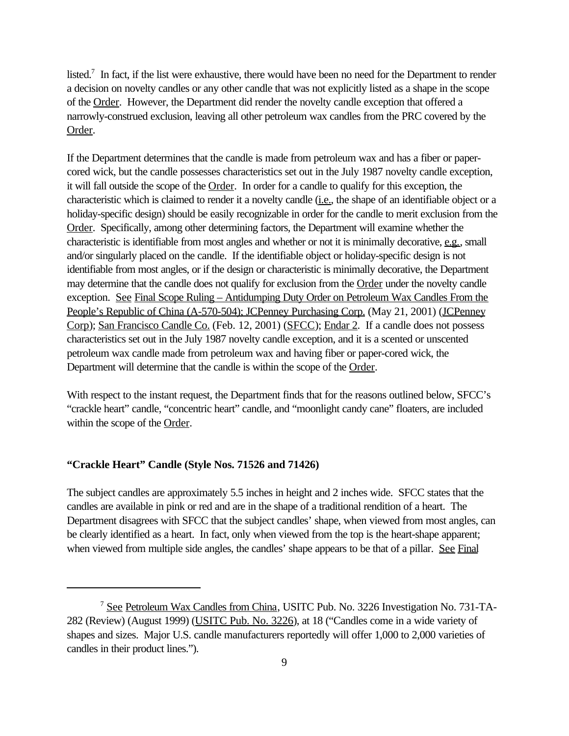listed.<sup>7</sup> In fact, if the list were exhaustive, there would have been no need for the Department to render a decision on novelty candles or any other candle that was not explicitly listed as a shape in the scope of the Order. However, the Department did render the novelty candle exception that offered a narrowly-construed exclusion, leaving all other petroleum wax candles from the PRC covered by the Order.

If the Department determines that the candle is made from petroleum wax and has a fiber or papercored wick, but the candle possesses characteristics set out in the July 1987 novelty candle exception, it will fall outside the scope of the Order. In order for a candle to qualify for this exception, the characteristic which is claimed to render it a novelty candle (i.e., the shape of an identifiable object or a holiday-specific design) should be easily recognizable in order for the candle to merit exclusion from the Order. Specifically, among other determining factors, the Department will examine whether the characteristic is identifiable from most angles and whether or not it is minimally decorative, e.g., small and/or singularly placed on the candle. If the identifiable object or holiday-specific design is not identifiable from most angles, or if the design or characteristic is minimally decorative, the Department may determine that the candle does not qualify for exclusion from the Order under the novelty candle exception. See Final Scope Ruling – Antidumping Duty Order on Petroleum Wax Candles From the People's Republic of China (A-570-504); JCPenney Purchasing Corp. (May 21, 2001) (JCPenney Corp); San Francisco Candle Co. (Feb. 12, 2001) (SFCC); Endar 2. If a candle does not possess characteristics set out in the July 1987 novelty candle exception, and it is a scented or unscented petroleum wax candle made from petroleum wax and having fiber or paper-cored wick, the Department will determine that the candle is within the scope of the Order.

With respect to the instant request, the Department finds that for the reasons outlined below, SFCC's "crackle heart" candle, "concentric heart" candle, and "moonlight candy cane" floaters, are included within the scope of the Order.

### **"Crackle Heart" Candle (Style Nos. 71526 and 71426)**

The subject candles are approximately 5.5 inches in height and 2 inches wide. SFCC states that the candles are available in pink or red and are in the shape of a traditional rendition of a heart. The Department disagrees with SFCC that the subject candles' shape, when viewed from most angles, can be clearly identified as a heart. In fact, only when viewed from the top is the heart-shape apparent; when viewed from multiple side angles, the candles' shape appears to be that of a pillar. See Final

<sup>&</sup>lt;sup>7</sup> See Petroleum Wax Candles from China, USITC Pub. No. 3226 Investigation No. 731-TA-282 (Review) (August 1999) (USITC Pub. No. 3226), at 18 ("Candles come in a wide variety of shapes and sizes. Major U.S. candle manufacturers reportedly will offer 1,000 to 2,000 varieties of candles in their product lines.").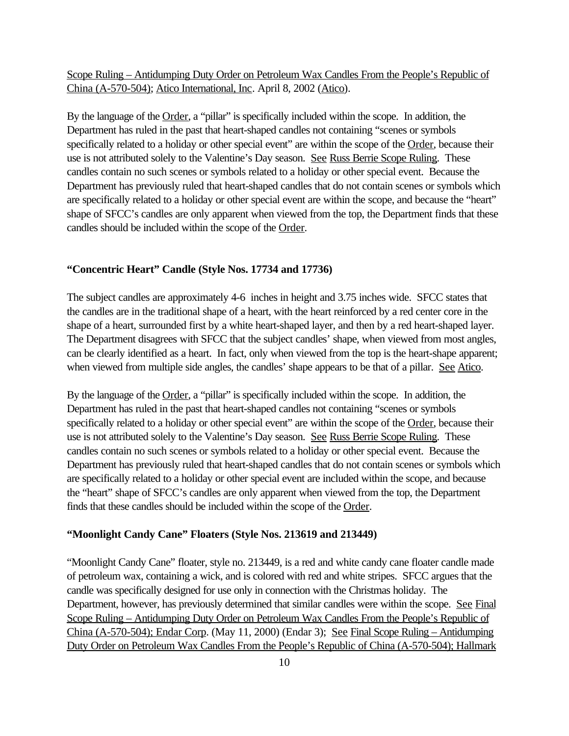Scope Ruling – Antidumping Duty Order on Petroleum Wax Candles From the People's Republic of China (A-570-504); Atico International, Inc. April 8, 2002 (Atico).

By the language of the Order, a "pillar" is specifically included within the scope. In addition, the Department has ruled in the past that heart-shaped candles not containing "scenes or symbols specifically related to a holiday or other special event" are within the scope of the Order, because their use is not attributed solely to the Valentine's Day season. See Russ Berrie Scope Ruling. These candles contain no such scenes or symbols related to a holiday or other special event. Because the Department has previously ruled that heart-shaped candles that do not contain scenes or symbols which are specifically related to a holiday or other special event are within the scope, and because the "heart" shape of SFCC's candles are only apparent when viewed from the top, the Department finds that these candles should be included within the scope of the Order.

#### **"Concentric Heart" Candle (Style Nos. 17734 and 17736)**

The subject candles are approximately 4-6 inches in height and 3.75 inches wide. SFCC states that the candles are in the traditional shape of a heart, with the heart reinforced by a red center core in the shape of a heart, surrounded first by a white heart-shaped layer, and then by a red heart-shaped layer. The Department disagrees with SFCC that the subject candles' shape, when viewed from most angles, can be clearly identified as a heart. In fact, only when viewed from the top is the heart-shape apparent; when viewed from multiple side angles, the candles' shape appears to be that of a pillar. See Atico.

By the language of the Order, a "pillar" is specifically included within the scope. In addition, the Department has ruled in the past that heart-shaped candles not containing "scenes or symbols specifically related to a holiday or other special event" are within the scope of the Order, because their use is not attributed solely to the Valentine's Day season. See Russ Berrie Scope Ruling. These candles contain no such scenes or symbols related to a holiday or other special event. Because the Department has previously ruled that heart-shaped candles that do not contain scenes or symbols which are specifically related to a holiday or other special event are included within the scope, and because the "heart" shape of SFCC's candles are only apparent when viewed from the top, the Department finds that these candles should be included within the scope of the Order.

### **"Moonlight Candy Cane" Floaters (Style Nos. 213619 and 213449)**

"Moonlight Candy Cane" floater, style no. 213449, is a red and white candy cane floater candle made of petroleum wax, containing a wick, and is colored with red and white stripes. SFCC argues that the candle was specifically designed for use only in connection with the Christmas holiday. The Department, however, has previously determined that similar candles were within the scope. See Final Scope Ruling – Antidumping Duty Order on Petroleum Wax Candles From the People's Republic of China (A-570-504); Endar Corp. (May 11, 2000) (Endar 3); See Final Scope Ruling – Antidumping Duty Order on Petroleum Wax Candles From the People's Republic of China (A-570-504); Hallmark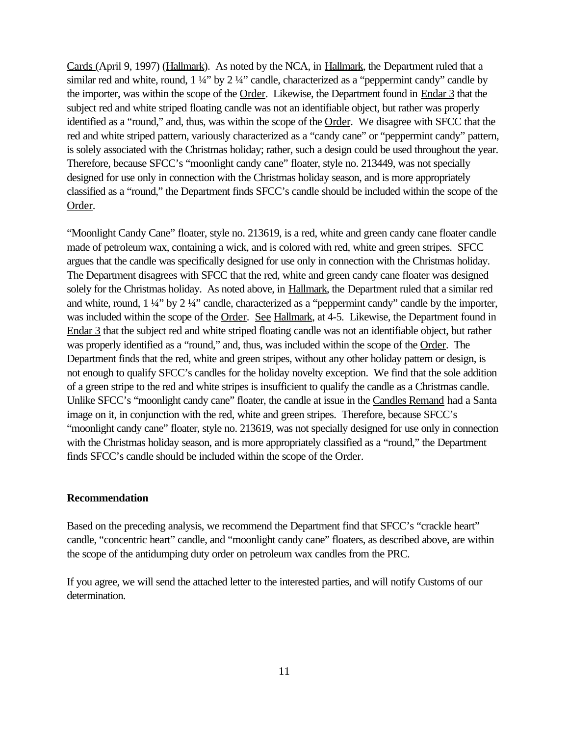Cards (April 9, 1997) (Hallmark). As noted by the NCA, in Hallmark, the Department ruled that a similar red and white, round,  $1\frac{1}{4}$ " by  $2\frac{1}{4}$ " candle, characterized as a "peppermint candy" candle by the importer, was within the scope of the Order. Likewise, the Department found in Endar 3 that the subject red and white striped floating candle was not an identifiable object, but rather was properly identified as a "round," and, thus, was within the scope of the Order. We disagree with SFCC that the red and white striped pattern, variously characterized as a "candy cane" or "peppermint candy" pattern, is solely associated with the Christmas holiday; rather, such a design could be used throughout the year. Therefore, because SFCC's "moonlight candy cane" floater, style no. 213449, was not specially designed for use only in connection with the Christmas holiday season, and is more appropriately classified as a "round," the Department finds SFCC's candle should be included within the scope of the Order.

"Moonlight Candy Cane" floater, style no. 213619, is a red, white and green candy cane floater candle made of petroleum wax, containing a wick, and is colored with red, white and green stripes. SFCC argues that the candle was specifically designed for use only in connection with the Christmas holiday. The Department disagrees with SFCC that the red, white and green candy cane floater was designed solely for the Christmas holiday. As noted above, in Hallmark, the Department ruled that a similar red and white, round, 1 ¼" by 2 ¼" candle, characterized as a "peppermint candy" candle by the importer, was included within the scope of the Order. See Hallmark, at 4-5. Likewise, the Department found in Endar 3 that the subject red and white striped floating candle was not an identifiable object, but rather was properly identified as a "round," and, thus, was included within the scope of the Order. The Department finds that the red, white and green stripes, without any other holiday pattern or design, is not enough to qualify SFCC's candles for the holiday novelty exception. We find that the sole addition of a green stripe to the red and white stripes is insufficient to qualify the candle as a Christmas candle. Unlike SFCC's "moonlight candy cane" floater, the candle at issue in the Candles Remand had a Santa image on it, in conjunction with the red, white and green stripes. Therefore, because SFCC's "moonlight candy cane" floater, style no. 213619, was not specially designed for use only in connection with the Christmas holiday season, and is more appropriately classified as a "round," the Department finds SFCC's candle should be included within the scope of the Order.

### **Recommendation**

Based on the preceding analysis, we recommend the Department find that SFCC's "crackle heart" candle, "concentric heart" candle, and "moonlight candy cane" floaters, as described above, are within the scope of the antidumping duty order on petroleum wax candles from the PRC.

If you agree, we will send the attached letter to the interested parties, and will notify Customs of our determination.